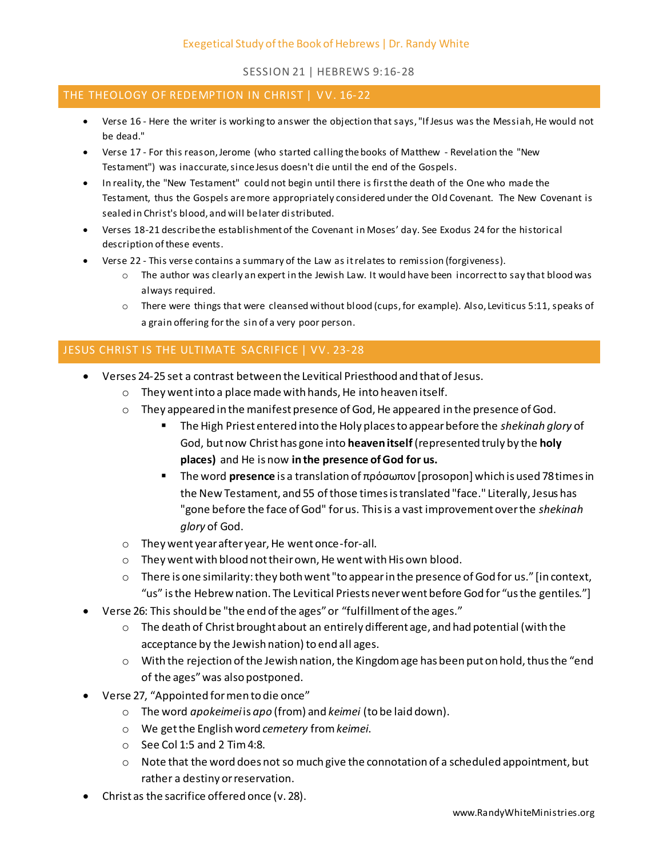## SESSION 21 | HEBREWS 9:16-28

## THE THEOLOGY OF REDEMPTION IN CHRIST | VV. 16-22

- Verse 16 Here the writer is working to answer the objection that says, "If Jesus was the Messiah, He would not be dead."
- Verse 17 For this reason, Jerome (who started calling the books of Matthew Revelation the "New Testament") was inaccurate, since Jesus doesn't die until the end of the Gospels.
- In reality, the "New Testament" could not begin until there is first the death of the One who made the Testament, thus the Gospels are more appropriately considered under the Old Covenant. The New Covenant is sealed in Christ's blood, and will be later distributed.
- Verses 18-21 describe the establishment of the Covenant in Moses' day. See Exodus 24 for the historical description of these events.
- Verse 22 This verse contains a summary of the Law as it relates to remission (forgiveness).
	- $\circ$  The author was clearly an expert in the Jewish Law. It would have been incorrect to say that blood was always required.
	- o There were things that were cleansed without blood (cups, for example). Also, Leviticus 5:11, speaks of a grain offering for the sin of a very poor person.

## JESUS CHRIST IS THE ULTIMATE SACRIFICE | VV. 23-28

- Verses 24-25 set a contrast between the Levitical Priesthood and that of Jesus.
	- o They went into a place made with hands, He into heaven itself.
	- $\circ$  They appeared in the manifest presence of God, He appeared in the presence of God.
		- The High Priest entered into the Holy places to appear before the *shekinah glory* of God, but now Christ has gone into **heaven itself** (represented truly by the **holy places)** and He is now **in the presence of God for us.**
		- The word **presence** is a translation of πρόσωπον [prosopon] which is used 78 times in the New Testament, and 55 of those times is translated "face." Literally, Jesus has "gone before the face of God" for us. This is a vast improvement over the *shekinah glory* of God.
	- o They went year after year, He went once-for-all.
	- o They went with blood not their own, He went with His own blood.
	- o There is one similarity: they both went "to appear in the presence of God for us." [in context, "us" is the Hebrew nation. The Levitical Priests never went before God for "us the gentiles."]
- Verse 26: This should be "the end of the ages" or "fulfillment of the ages."
	- $\circ$  The death of Christ brought about an entirely different age, and had potential (with the acceptance by the Jewish nation) to end all ages.
	- o With the rejection of the Jewish nation, the Kingdom age has been put on hold, thus the "end of the ages" was also postponed.
- Verse 27, "Appointed for men to die once"
	- o The word *apokeimei*is *apo* (from) and *keimei* (to be laid down).
	- o We get the English word *cemetery* from *keimei*.
	- o See Col 1:5 and 2 Tim 4:8.
	- o Note that the word does not so much give the connotation of a scheduled appointment, but rather a destiny or reservation.
- Christ as the sacrifice offered once (v. 28).